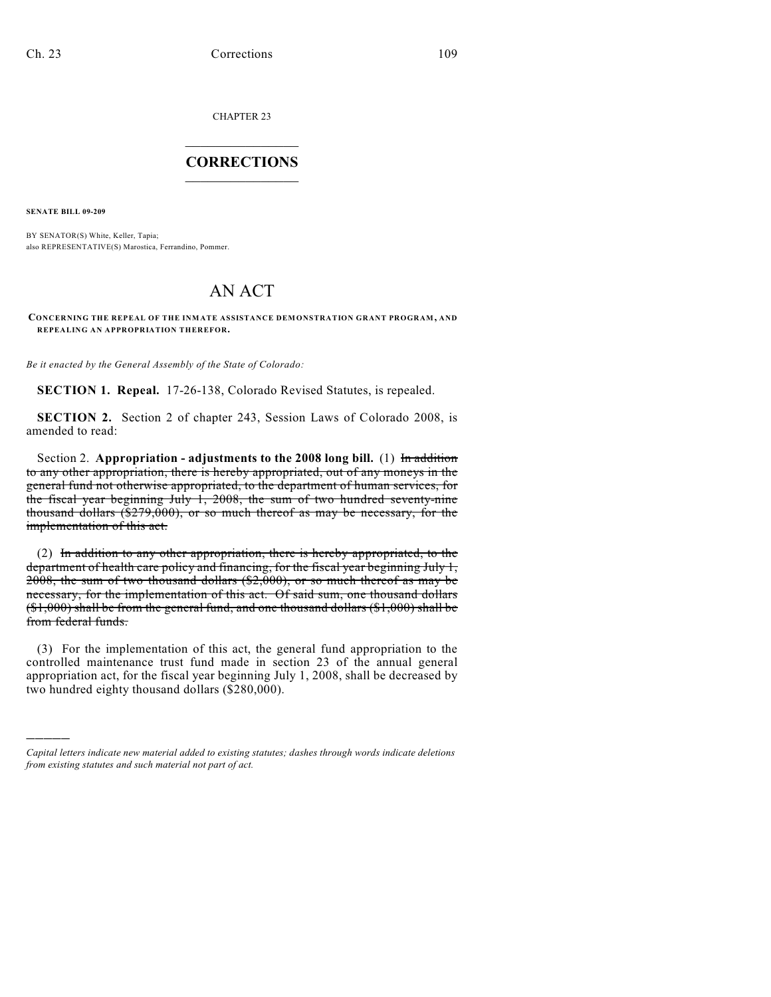CHAPTER 23

## $\mathcal{L}_\text{max}$  . The set of the set of the set of the set of the set of the set of the set of the set of the set of the set of the set of the set of the set of the set of the set of the set of the set of the set of the set **CORRECTIONS**  $\frac{1}{2}$  ,  $\frac{1}{2}$  ,  $\frac{1}{2}$  ,  $\frac{1}{2}$  ,  $\frac{1}{2}$  ,  $\frac{1}{2}$

**SENATE BILL 09-209**

)))))

BY SENATOR(S) White, Keller, Tapia; also REPRESENTATIVE(S) Marostica, Ferrandino, Pommer.

## AN ACT

## **CONCERNING THE REPEAL OF THE INMATE ASSISTANCE DEMONSTRATION GRANT PROGRAM, AND REPEALING AN APPROPRIATION THEREFOR.**

*Be it enacted by the General Assembly of the State of Colorado:*

**SECTION 1. Repeal.** 17-26-138, Colorado Revised Statutes, is repealed.

**SECTION 2.** Section 2 of chapter 243, Session Laws of Colorado 2008, is amended to read:

Section 2. **Appropriation - adjustments to the 2008 long bill.** (1) In addition to any other appropriation, there is hereby appropriated, out of any moneys in the general fund not otherwise appropriated, to the department of human services, for the fiscal year beginning July 1, 2008, the sum of two hundred seventy-nine thousand dollars (\$279,000), or so much thereof as may be necessary, for the implementation of this act.

(2) In addition to any other appropriation, there is hereby appropriated, to the department of health care policy and financing, for the fiscal year beginning July 1, 2008, the sum of two thousand dollars (\$2,000), or so much thereof as may be necessary, for the implementation of this act. Of said sum, one thousand dollars  $($1,000)$  shall be from the general fund, and one thousand dollars  $($1,000)$  shall be from federal funds.

(3) For the implementation of this act, the general fund appropriation to the controlled maintenance trust fund made in section 23 of the annual general appropriation act, for the fiscal year beginning July 1, 2008, shall be decreased by two hundred eighty thousand dollars (\$280,000).

*Capital letters indicate new material added to existing statutes; dashes through words indicate deletions from existing statutes and such material not part of act.*